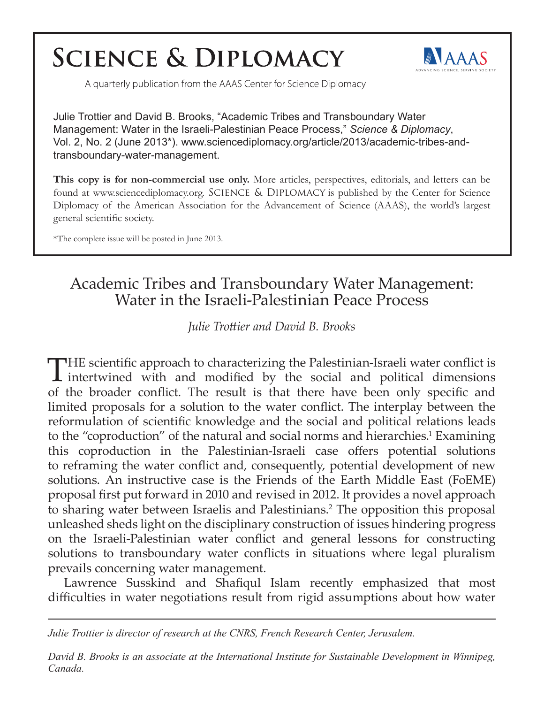# **SCIENCE & DIPLOMACY**



A quarterly publication from the AAAS Center for Science Diplomacy

Julie Trottier and David B. Brooks, "Academic Tribes and Transboundary Water Management: Water in the Israeli-Palestinian Peace Process," *Science & Diplomacy*, Vol. 2, No. 2 (June 2013\*). www.sciencediplomacy.org/article/2013/academic-tribes-andtransboundary-water-management.

**This copy is for non-commercial use only.** More articles, perspectives, editorials, and letters can be found at www.sciencediplomacy.org. SCIENCE & DIPLOMACY is published by the Center for Science Diplomacy of the American Association for the Advancement of Science (AAAS), the world's largest general scientific society.

\*The complete issue will be posted in June 2013.

## Academic Tribes and Transboundary Water Management: Water in the Israeli-Palestinian Peace Process

*Julie Trottier and David B. Brooks*

THE scientific approach to characterizing the Palestinian-Israeli water conflict is **L** intertwined with and modified by the social and political dimensions of the broader conflict. The result is that there have been only specific and limited proposals for a solution to the water conflict. The interplay between the reformulation of scientific knowledge and the social and political relations leads to the "coproduction" of the natural and social norms and hierarchies.<sup>1</sup> Examining this coproduction in the Palestinian-Israeli case offers potential solutions to reframing the water conflict and, consequently, potential development of new solutions. An instructive case is the Friends of the Earth Middle East (FoEME) proposal first put forward in 2010 and revised in 2012. It provides a novel approach to sharing water between Israelis and Palestinians.<sup>2</sup> The opposition this proposal unleashed sheds light on the disciplinary construction of issues hindering progress on the Israeli-Palestinian water conflict and general lessons for constructing solutions to transboundary water conflicts in situations where legal pluralism prevails concerning water management.

Lawrence Susskind and Shafiqul Islam recently emphasized that most difficulties in water negotiations result from rigid assumptions about how water

*Julie Trottier is director of research at the CNRS, French Research Center, Jerusalem.*

*David B. Brooks is an associate at the International Institute for Sustainable Development in Winnipeg, Canada.*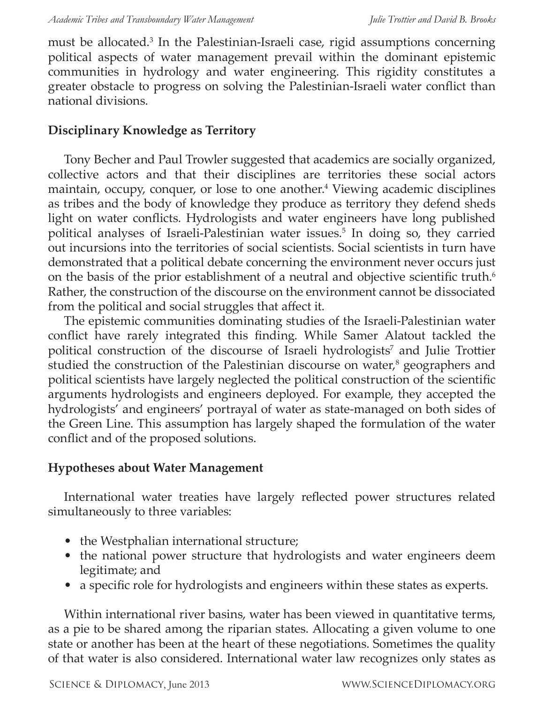must be allocated.<sup>3</sup> In the Palestinian-Israeli case, rigid assumptions concerning political aspects of water management prevail within the dominant epistemic communities in hydrology and water engineering. This rigidity constitutes a greater obstacle to progress on solving the Palestinian-Israeli water conflict than national divisions.

#### **Disciplinary Knowledge as Territory**

Tony Becher and Paul Trowler suggested that academics are socially organized, collective actors and that their disciplines are territories these social actors maintain, occupy, conquer, or lose to one another.<sup>4</sup> Viewing academic disciplines as tribes and the body of knowledge they produce as territory they defend sheds light on water conflicts. Hydrologists and water engineers have long published political analyses of Israeli-Palestinian water issues.<sup>5</sup> In doing so, they carried out incursions into the territories of social scientists. Social scientists in turn have demonstrated that a political debate concerning the environment never occurs just on the basis of the prior establishment of a neutral and objective scientific truth.<sup>6</sup> Rather, the construction of the discourse on the environment cannot be dissociated from the political and social struggles that affect it.

The epistemic communities dominating studies of the Israeli-Palestinian water conflict have rarely integrated this finding. While Samer Alatout tackled the political construction of the discourse of Israeli hydrologists<sup>7</sup> and Julie Trottier studied the construction of the Palestinian discourse on water,<sup>8</sup> geographers and political scientists have largely neglected the political construction of the scientific arguments hydrologists and engineers deployed. For example, they accepted the hydrologists' and engineers' portrayal of water as state-managed on both sides of the Green Line. This assumption has largely shaped the formulation of the water conflict and of the proposed solutions.

#### **Hypotheses about Water Management**

International water treaties have largely reflected power structures related simultaneously to three variables:

- the Westphalian international structure;
- the national power structure that hydrologists and water engineers deem legitimate; and
- a specific role for hydrologists and engineers within these states as experts.

Within international river basins, water has been viewed in quantitative terms, as a pie to be shared among the riparian states. Allocating a given volume to one state or another has been at the heart of these negotiations. Sometimes the quality of that water is also considered. International water law recognizes only states as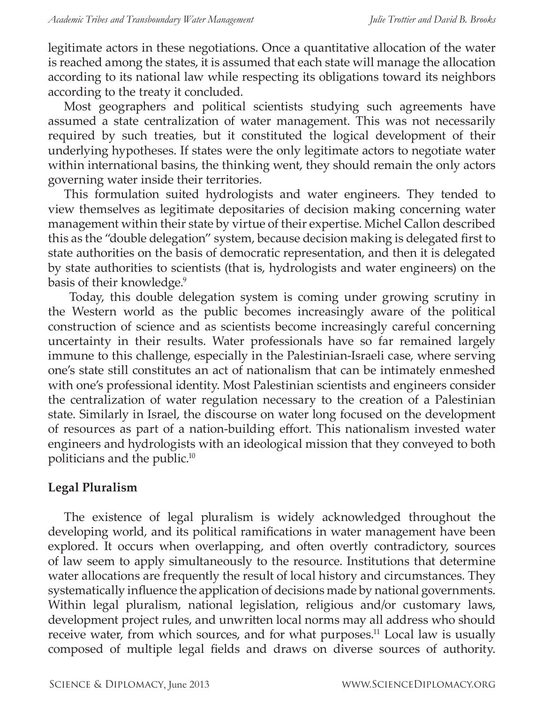legitimate actors in these negotiations. Once a quantitative allocation of the water is reached among the states, it is assumed that each state will manage the allocation according to its national law while respecting its obligations toward its neighbors according to the treaty it concluded.

Most geographers and political scientists studying such agreements have assumed a state centralization of water management. This was not necessarily required by such treaties, but it constituted the logical development of their underlying hypotheses. If states were the only legitimate actors to negotiate water within international basins, the thinking went, they should remain the only actors governing water inside their territories.

This formulation suited hydrologists and water engineers. They tended to view themselves as legitimate depositaries of decision making concerning water management within their state by virtue of their expertise. Michel Callon described this as the "double delegation" system, because decision making is delegated first to state authorities on the basis of democratic representation, and then it is delegated by state authorities to scientists (that is, hydrologists and water engineers) on the basis of their knowledge.<sup>9</sup>

 Today, this double delegation system is coming under growing scrutiny in the Western world as the public becomes increasingly aware of the political construction of science and as scientists become increasingly careful concerning uncertainty in their results. Water professionals have so far remained largely immune to this challenge, especially in the Palestinian-Israeli case, where serving one's state still constitutes an act of nationalism that can be intimately enmeshed with one's professional identity. Most Palestinian scientists and engineers consider the centralization of water regulation necessary to the creation of a Palestinian state. Similarly in Israel, the discourse on water long focused on the development of resources as part of a nation-building effort. This nationalism invested water engineers and hydrologists with an ideological mission that they conveyed to both politicians and the public.10

#### **Legal Pluralism**

The existence of legal pluralism is widely acknowledged throughout the developing world, and its political ramifications in water management have been explored. It occurs when overlapping, and often overtly contradictory, sources of law seem to apply simultaneously to the resource. Institutions that determine water allocations are frequently the result of local history and circumstances. They systematically influence the application of decisions made by national governments. Within legal pluralism, national legislation, religious and/or customary laws, development project rules, and unwritten local norms may all address who should receive water, from which sources, and for what purposes.<sup>11</sup> Local law is usually composed of multiple legal fields and draws on diverse sources of authority.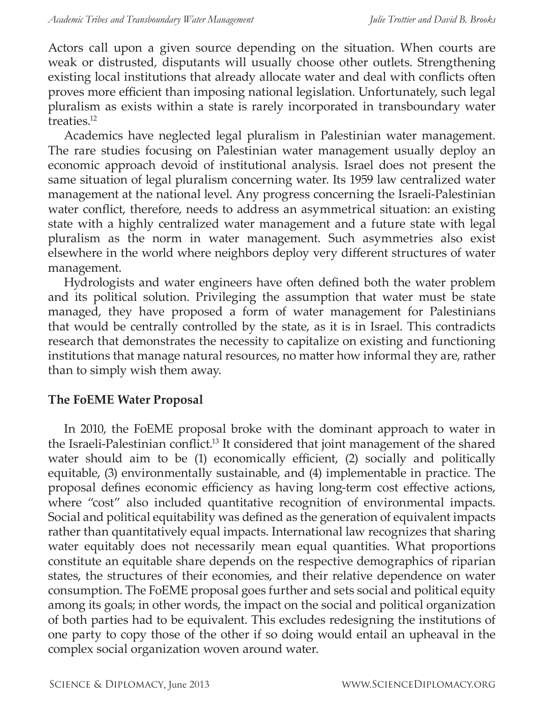Actors call upon a given source depending on the situation. When courts are weak or distrusted, disputants will usually choose other outlets. Strengthening existing local institutions that already allocate water and deal with conflicts often proves more efficient than imposing national legislation. Unfortunately, such legal pluralism as exists within a state is rarely incorporated in transboundary water treaties.<sup>12</sup>

Academics have neglected legal pluralism in Palestinian water management. The rare studies focusing on Palestinian water management usually deploy an economic approach devoid of institutional analysis. Israel does not present the same situation of legal pluralism concerning water. Its 1959 law centralized water management at the national level. Any progress concerning the Israeli-Palestinian water conflict, therefore, needs to address an asymmetrical situation: an existing state with a highly centralized water management and a future state with legal pluralism as the norm in water management. Such asymmetries also exist elsewhere in the world where neighbors deploy very different structures of water management.

Hydrologists and water engineers have often defined both the water problem and its political solution. Privileging the assumption that water must be state managed, they have proposed a form of water management for Palestinians that would be centrally controlled by the state, as it is in Israel. This contradicts research that demonstrates the necessity to capitalize on existing and functioning institutions that manage natural resources, no matter how informal they are, rather than to simply wish them away.

#### **The FoEME Water Proposal**

In 2010, the FoEME proposal broke with the dominant approach to water in the Israeli-Palestinian conflict.<sup>13</sup> It considered that joint management of the shared water should aim to be (1) economically efficient, (2) socially and politically equitable, (3) environmentally sustainable, and (4) implementable in practice. The proposal defines economic efficiency as having long-term cost effective actions, where "cost" also included quantitative recognition of environmental impacts. Social and political equitability was defined as the generation of equivalent impacts rather than quantitatively equal impacts. International law recognizes that sharing water equitably does not necessarily mean equal quantities. What proportions constitute an equitable share depends on the respective demographics of riparian states, the structures of their economies, and their relative dependence on water consumption. The FoEME proposal goes further and sets social and political equity among its goals; in other words, the impact on the social and political organization of both parties had to be equivalent. This excludes redesigning the institutions of one party to copy those of the other if so doing would entail an upheaval in the complex social organization woven around water.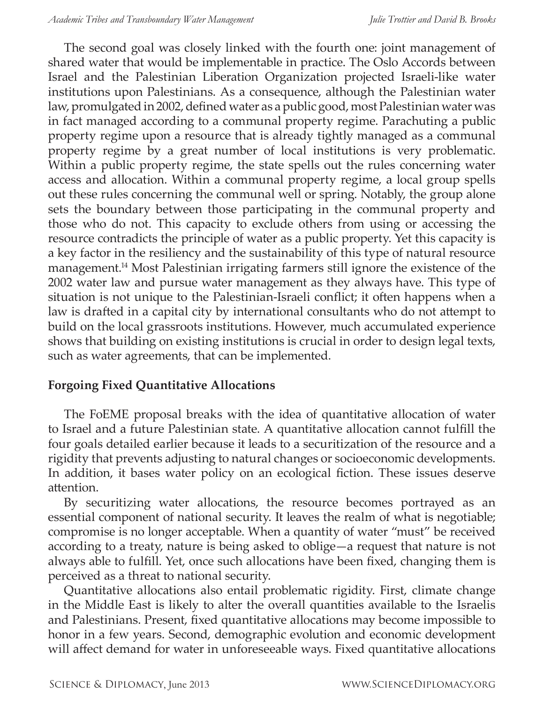The second goal was closely linked with the fourth one: joint management of shared water that would be implementable in practice. The Oslo Accords between Israel and the Palestinian Liberation Organization projected Israeli-like water institutions upon Palestinians. As a consequence, although the Palestinian water law, promulgated in 2002, defined water as a public good, most Palestinian water was in fact managed according to a communal property regime. Parachuting a public property regime upon a resource that is already tightly managed as a communal property regime by a great number of local institutions is very problematic. Within a public property regime, the state spells out the rules concerning water access and allocation. Within a communal property regime, a local group spells out these rules concerning the communal well or spring. Notably, the group alone sets the boundary between those participating in the communal property and those who do not. This capacity to exclude others from using or accessing the resource contradicts the principle of water as a public property. Yet this capacity is a key factor in the resiliency and the sustainability of this type of natural resource management.14 Most Palestinian irrigating farmers still ignore the existence of the 2002 water law and pursue water management as they always have. This type of situation is not unique to the Palestinian-Israeli conflict; it often happens when a law is drafted in a capital city by international consultants who do not attempt to build on the local grassroots institutions. However, much accumulated experience shows that building on existing institutions is crucial in order to design legal texts, such as water agreements, that can be implemented.

### **Forgoing Fixed Quantitative Allocations**

The FoEME proposal breaks with the idea of quantitative allocation of water to Israel and a future Palestinian state. A quantitative allocation cannot fulfill the four goals detailed earlier because it leads to a securitization of the resource and a rigidity that prevents adjusting to natural changes or socioeconomic developments. In addition, it bases water policy on an ecological fiction. These issues deserve attention.

By securitizing water allocations, the resource becomes portrayed as an essential component of national security. It leaves the realm of what is negotiable; compromise is no longer acceptable. When a quantity of water "must" be received according to a treaty, nature is being asked to oblige—a request that nature is not always able to fulfill. Yet, once such allocations have been fixed, changing them is perceived as a threat to national security.

Quantitative allocations also entail problematic rigidity. First, climate change in the Middle East is likely to alter the overall quantities available to the Israelis and Palestinians. Present, fixed quantitative allocations may become impossible to honor in a few years. Second, demographic evolution and economic development will affect demand for water in unforeseeable ways. Fixed quantitative allocations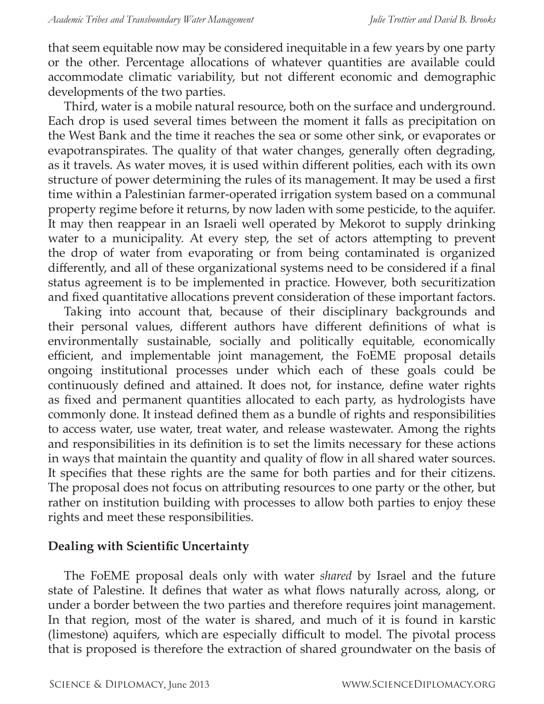that seem equitable now may be considered inequitable in a few years by one party or the other. Percentage allocations of whatever quantities are available could accommodate climatic variability, but not different economic and demographic developments of the two parties.

Third, water is a mobile natural resource, both on the surface and underground. Each drop is used several times between the moment it falls as precipitation on the West Bank and the time it reaches the sea or some other sink, or evaporates or evapotranspirates. The quality of that water changes, generally often degrading, as it travels. As water moves, it is used within different polities, each with its own structure of power determining the rules of its management. It may be used a first time within a Palestinian farmer-operated irrigation system based on a communal property regime before it returns, by now laden with some pesticide, to the aquifer. It may then reappear in an Israeli well operated by Mekorot to supply drinking water to a municipality. At every step, the set of actors attempting to prevent the drop of water from evaporating or from being contaminated is organized differently, and all of these organizational systems need to be considered if a final status agreement is to be implemented in practice. However, both securitization and fixed quantitative allocations prevent consideration of these important factors.

Taking into account that, because of their disciplinary backgrounds and their personal values, different authors have different definitions of what is environmentally sustainable, socially and politically equitable, economically efficient, and implementable joint management, the FoEME proposal details ongoing institutional processes under which each of these goals could be continuously defined and attained. It does not, for instance, define water rights as fixed and permanent quantities allocated to each party, as hydrologists have commonly done. It instead defined them as a bundle of rights and responsibilities to access water, use water, treat water, and release wastewater. Among the rights and responsibilities in its definition is to set the limits necessary for these actions in ways that maintain the quantity and quality of flow in all shared water sources. It specifies that these rights are the same for both parties and for their citizens. The proposal does not focus on attributing resources to one party or the other, but rather on institution building with processes to allow both parties to enjoy these rights and meet these responsibilities.

#### **Dealing with Scientific Uncertainty**

The FoEME proposal deals only with water *shared* by Israel and the future state of Palestine. It defines that water as what flows naturally across, along, or under a border between the two parties and therefore requires joint management. In that region, most of the water is shared, and much of it is found in karstic (limestone) aquifers, which are especially difficult to model. The pivotal process that is proposed is therefore the extraction of shared groundwater on the basis of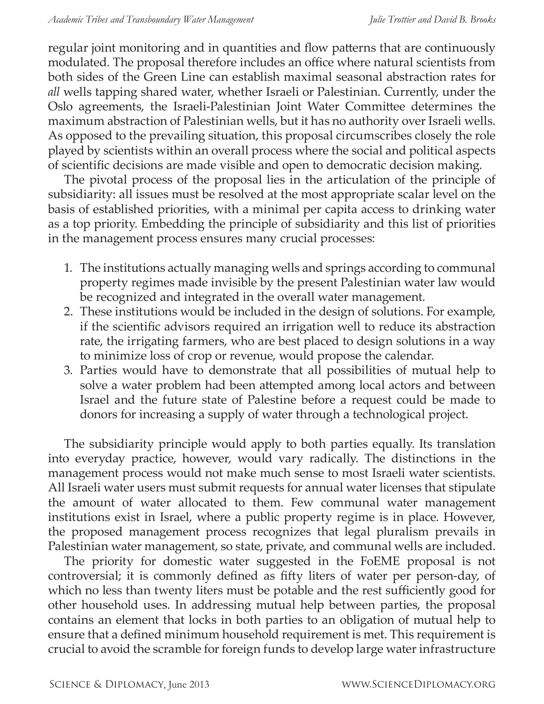regular joint monitoring and in quantities and flow patterns that are continuously modulated. The proposal therefore includes an office where natural scientists from both sides of the Green Line can establish maximal seasonal abstraction rates for *all* wells tapping shared water, whether Israeli or Palestinian. Currently, under the Oslo agreements, the Israeli-Palestinian Joint Water Committee determines the maximum abstraction of Palestinian wells, but it has no authority over Israeli wells. As opposed to the prevailing situation, this proposal circumscribes closely the role played by scientists within an overall process where the social and political aspects of scientific decisions are made visible and open to democratic decision making.

The pivotal process of the proposal lies in the articulation of the principle of subsidiarity: all issues must be resolved at the most appropriate scalar level on the basis of established priorities, with a minimal per capita access to drinking water as a top priority. Embedding the principle of subsidiarity and this list of priorities in the management process ensures many crucial processes:

- 1. The institutions actually managing wells and springs according to communal property regimes made invisible by the present Palestinian water law would be recognized and integrated in the overall water management.
- 2. These institutions would be included in the design of solutions. For example, if the scientific advisors required an irrigation well to reduce its abstraction rate, the irrigating farmers, who are best placed to design solutions in a way to minimize loss of crop or revenue, would propose the calendar.
- 3. Parties would have to demonstrate that all possibilities of mutual help to solve a water problem had been attempted among local actors and between Israel and the future state of Palestine before a request could be made to donors for increasing a supply of water through a technological project.

The subsidiarity principle would apply to both parties equally. Its translation into everyday practice, however, would vary radically. The distinctions in the management process would not make much sense to most Israeli water scientists. All Israeli water users must submit requests for annual water licenses that stipulate the amount of water allocated to them. Few communal water management institutions exist in Israel, where a public property regime is in place. However, the proposed management process recognizes that legal pluralism prevails in Palestinian water management, so state, private, and communal wells are included.

The priority for domestic water suggested in the FoEME proposal is not controversial; it is commonly defined as fifty liters of water per person-day, of which no less than twenty liters must be potable and the rest sufficiently good for other household uses. In addressing mutual help between parties, the proposal contains an element that locks in both parties to an obligation of mutual help to ensure that a defined minimum household requirement is met. This requirement is crucial to avoid the scramble for foreign funds to develop large water infrastructure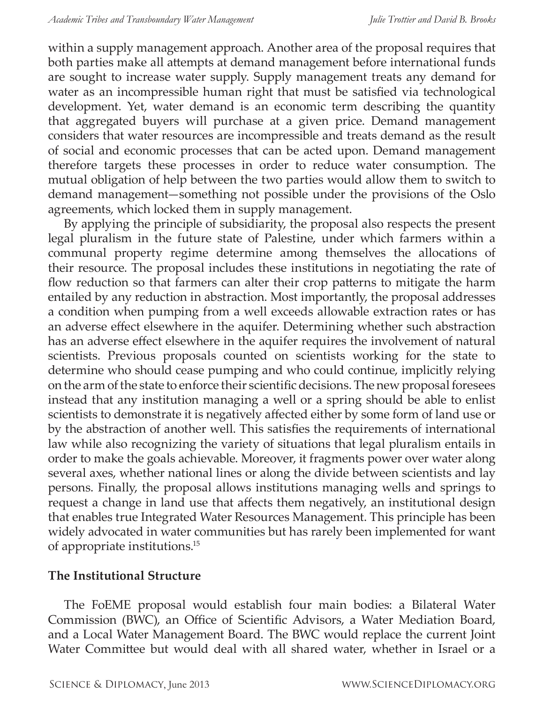within a supply management approach. Another area of the proposal requires that both parties make all attempts at demand management before international funds are sought to increase water supply. Supply management treats any demand for water as an incompressible human right that must be satisfied via technological development. Yet, water demand is an economic term describing the quantity that aggregated buyers will purchase at a given price. Demand management considers that water resources are incompressible and treats demand as the result of social and economic processes that can be acted upon. Demand management therefore targets these processes in order to reduce water consumption. The mutual obligation of help between the two parties would allow them to switch to demand management—something not possible under the provisions of the Oslo agreements, which locked them in supply management.

By applying the principle of subsidiarity, the proposal also respects the present legal pluralism in the future state of Palestine, under which farmers within a communal property regime determine among themselves the allocations of their resource. The proposal includes these institutions in negotiating the rate of flow reduction so that farmers can alter their crop patterns to mitigate the harm entailed by any reduction in abstraction. Most importantly, the proposal addresses a condition when pumping from a well exceeds allowable extraction rates or has an adverse effect elsewhere in the aquifer. Determining whether such abstraction has an adverse effect elsewhere in the aquifer requires the involvement of natural scientists. Previous proposals counted on scientists working for the state to determine who should cease pumping and who could continue, implicitly relying on the arm of the state to enforce their scientific decisions. The new proposal foresees instead that any institution managing a well or a spring should be able to enlist scientists to demonstrate it is negatively affected either by some form of land use or by the abstraction of another well. This satisfies the requirements of international law while also recognizing the variety of situations that legal pluralism entails in order to make the goals achievable. Moreover, it fragments power over water along several axes, whether national lines or along the divide between scientists and lay persons. Finally, the proposal allows institutions managing wells and springs to request a change in land use that affects them negatively, an institutional design that enables true Integrated Water Resources Management. This principle has been widely advocated in water communities but has rarely been implemented for want of appropriate institutions.<sup>15</sup>

#### **The Institutional Structure**

The FoEME proposal would establish four main bodies: a Bilateral Water Commission (BWC), an Office of Scientific Advisors, a Water Mediation Board, and a Local Water Management Board. The BWC would replace the current Joint Water Committee but would deal with all shared water, whether in Israel or a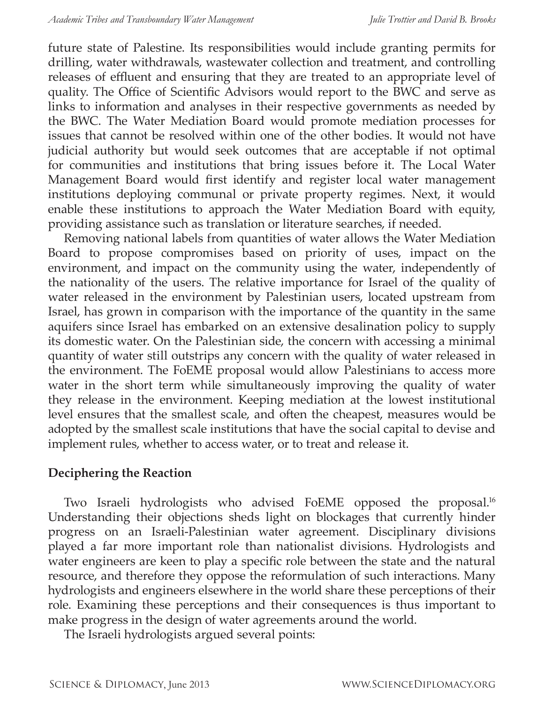future state of Palestine. Its responsibilities would include granting permits for drilling, water withdrawals, wastewater collection and treatment, and controlling releases of effluent and ensuring that they are treated to an appropriate level of quality. The Office of Scientific Advisors would report to the BWC and serve as links to information and analyses in their respective governments as needed by the BWC. The Water Mediation Board would promote mediation processes for issues that cannot be resolved within one of the other bodies. It would not have judicial authority but would seek outcomes that are acceptable if not optimal for communities and institutions that bring issues before it. The Local Water Management Board would first identify and register local water management institutions deploying communal or private property regimes. Next, it would enable these institutions to approach the Water Mediation Board with equity, providing assistance such as translation or literature searches, if needed.

Removing national labels from quantities of water allows the Water Mediation Board to propose compromises based on priority of uses, impact on the environment, and impact on the community using the water, independently of the nationality of the users. The relative importance for Israel of the quality of water released in the environment by Palestinian users, located upstream from Israel, has grown in comparison with the importance of the quantity in the same aquifers since Israel has embarked on an extensive desalination policy to supply its domestic water. On the Palestinian side, the concern with accessing a minimal quantity of water still outstrips any concern with the quality of water released in the environment. The FoEME proposal would allow Palestinians to access more water in the short term while simultaneously improving the quality of water they release in the environment. Keeping mediation at the lowest institutional level ensures that the smallest scale, and often the cheapest, measures would be adopted by the smallest scale institutions that have the social capital to devise and implement rules, whether to access water, or to treat and release it.

### **Deciphering the Reaction**

Two Israeli hydrologists who advised FoEME opposed the proposal.<sup>16</sup> Understanding their objections sheds light on blockages that currently hinder progress on an Israeli-Palestinian water agreement. Disciplinary divisions played a far more important role than nationalist divisions. Hydrologists and water engineers are keen to play a specific role between the state and the natural resource, and therefore they oppose the reformulation of such interactions. Many hydrologists and engineers elsewhere in the world share these perceptions of their role. Examining these perceptions and their consequences is thus important to make progress in the design of water agreements around the world.

The Israeli hydrologists argued several points: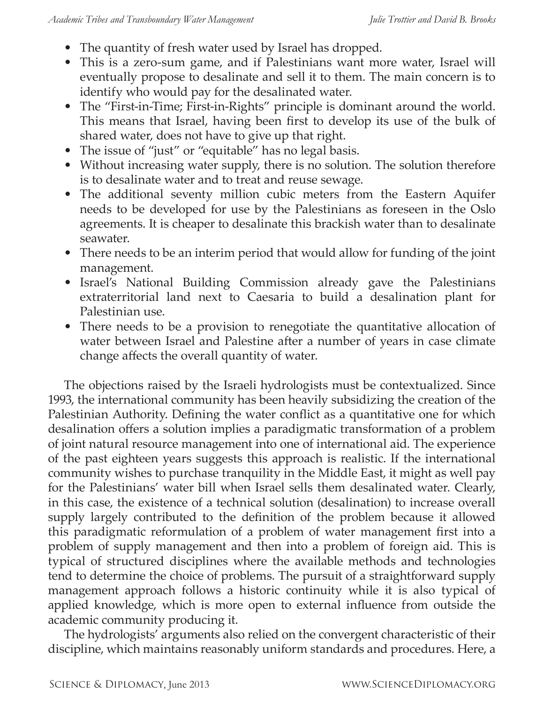- The quantity of fresh water used by Israel has dropped.
- This is a zero-sum game, and if Palestinians want more water, Israel will eventually propose to desalinate and sell it to them. The main concern is to identify who would pay for the desalinated water.
- The "First-in-Time; First-in-Rights" principle is dominant around the world. This means that Israel, having been first to develop its use of the bulk of shared water, does not have to give up that right.
- The issue of "just" or "equitable" has no legal basis.
- Without increasing water supply, there is no solution. The solution therefore is to desalinate water and to treat and reuse sewage.
- The additional seventy million cubic meters from the Eastern Aquifer needs to be developed for use by the Palestinians as foreseen in the Oslo agreements. It is cheaper to desalinate this brackish water than to desalinate seawater.
- There needs to be an interim period that would allow for funding of the joint management.
- Israel's National Building Commission already gave the Palestinians extraterritorial land next to Caesaria to build a desalination plant for Palestinian use.
- There needs to be a provision to renegotiate the quantitative allocation of water between Israel and Palestine after a number of years in case climate change affects the overall quantity of water.

The objections raised by the Israeli hydrologists must be contextualized. Since 1993, the international community has been heavily subsidizing the creation of the Palestinian Authority. Defining the water conflict as a quantitative one for which desalination offers a solution implies a paradigmatic transformation of a problem of joint natural resource management into one of international aid. The experience of the past eighteen years suggests this approach is realistic. If the international community wishes to purchase tranquility in the Middle East, it might as well pay for the Palestinians' water bill when Israel sells them desalinated water. Clearly, in this case, the existence of a technical solution (desalination) to increase overall supply largely contributed to the definition of the problem because it allowed this paradigmatic reformulation of a problem of water management first into a problem of supply management and then into a problem of foreign aid. This is typical of structured disciplines where the available methods and technologies tend to determine the choice of problems. The pursuit of a straightforward supply management approach follows a historic continuity while it is also typical of applied knowledge, which is more open to external influence from outside the academic community producing it.

The hydrologists' arguments also relied on the convergent characteristic of their discipline, which maintains reasonably uniform standards and procedures. Here, a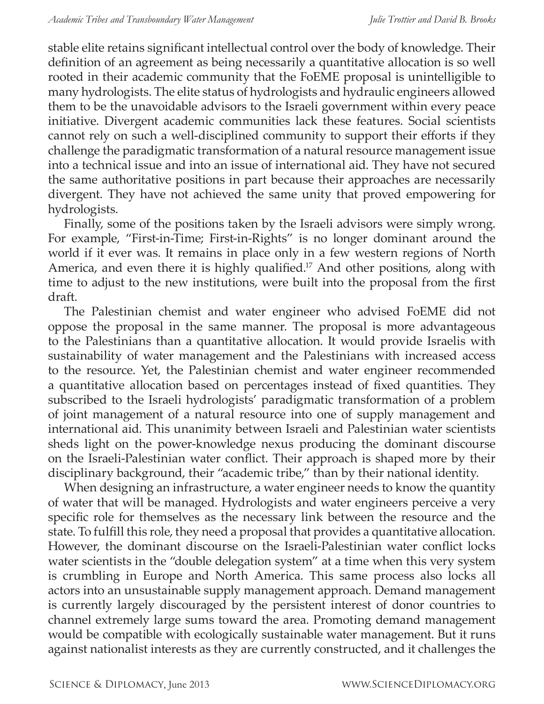stable elite retains significant intellectual control over the body of knowledge. Their definition of an agreement as being necessarily a quantitative allocation is so well rooted in their academic community that the FoEME proposal is unintelligible to many hydrologists. The elite status of hydrologists and hydraulic engineers allowed them to be the unavoidable advisors to the Israeli government within every peace initiative. Divergent academic communities lack these features. Social scientists cannot rely on such a well-disciplined community to support their efforts if they challenge the paradigmatic transformation of a natural resource management issue into a technical issue and into an issue of international aid. They have not secured the same authoritative positions in part because their approaches are necessarily divergent. They have not achieved the same unity that proved empowering for hydrologists.

Finally, some of the positions taken by the Israeli advisors were simply wrong. For example, "First-in-Time; First-in-Rights" is no longer dominant around the world if it ever was. It remains in place only in a few western regions of North America, and even there it is highly qualified.<sup>17</sup> And other positions, along with time to adjust to the new institutions, were built into the proposal from the first draft.

The Palestinian chemist and water engineer who advised FoEME did not oppose the proposal in the same manner. The proposal is more advantageous to the Palestinians than a quantitative allocation. It would provide Israelis with sustainability of water management and the Palestinians with increased access to the resource. Yet, the Palestinian chemist and water engineer recommended a quantitative allocation based on percentages instead of fixed quantities. They subscribed to the Israeli hydrologists' paradigmatic transformation of a problem of joint management of a natural resource into one of supply management and international aid. This unanimity between Israeli and Palestinian water scientists sheds light on the power-knowledge nexus producing the dominant discourse on the Israeli-Palestinian water conflict. Their approach is shaped more by their disciplinary background, their "academic tribe," than by their national identity.

When designing an infrastructure, a water engineer needs to know the quantity of water that will be managed. Hydrologists and water engineers perceive a very specific role for themselves as the necessary link between the resource and the state. To fulfill this role, they need a proposal that provides a quantitative allocation. However, the dominant discourse on the Israeli-Palestinian water conflict locks water scientists in the "double delegation system" at a time when this very system is crumbling in Europe and North America. This same process also locks all actors into an unsustainable supply management approach. Demand management is currently largely discouraged by the persistent interest of donor countries to channel extremely large sums toward the area. Promoting demand management would be compatible with ecologically sustainable water management. But it runs against nationalist interests as they are currently constructed, and it challenges the